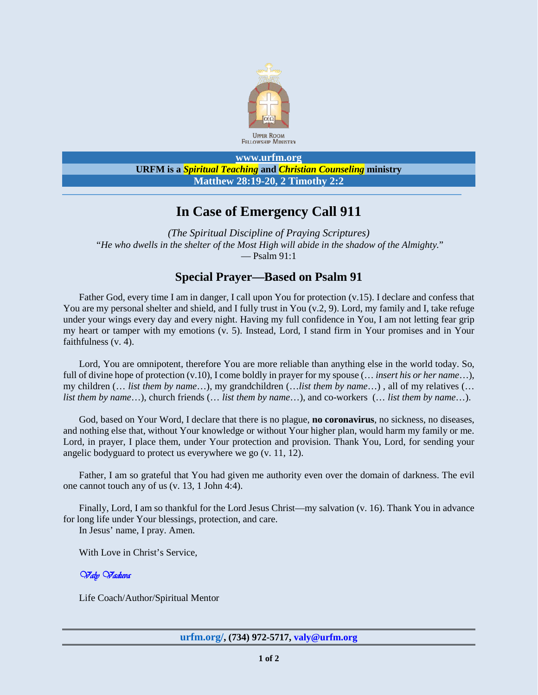

#### **[www.urfm.org](http://www.urfm.org/) URFM is a** *Spiritual Teaching* **and** *Christian Counseling* **ministry Matthew 28:19-20, 2 Timothy 2:2**

# **In Case of Emergency Call 911**

*(The Spiritual Discipline of Praying Scriptures)* "*He who dwells in the shelter of the Most High will abide in the shadow of the Almighty.*" — Psalm 91:1

## **Special Prayer—Based on Psalm 91**

Father God, every time I am in danger, I call upon You for protection (v.15). I declare and confess that You are my personal shelter and shield, and I fully trust in You (v.2, 9). Lord, my family and I, take refuge under your wings every day and every night. Having my full confidence in You, I am not letting fear grip my heart or tamper with my emotions (v. 5). Instead, Lord, I stand firm in Your promises and in Your faithfulness (v. 4).

Lord, You are omnipotent, therefore You are more reliable than anything else in the world today. So, full of divine hope of protection (v.10), I come boldly in prayer for my spouse (… *insert his or her name*…), my children (… *list them by name*…), my grandchildren (…*list them by name*…) , all of my relatives (… *list them by name*…), church friends (… *list them by name*…), and co-workers (… *list them by name*…).

God, based on Your Word, I declare that there is no plague, **no coronavirus**, no sickness, no diseases, and nothing else that, without Your knowledge or without Your higher plan, would harm my family or me. Lord, in prayer, I place them, under Your protection and provision. Thank You, Lord, for sending your angelic bodyguard to protect us everywhere we go (v. 11, 12).

Father, I am so grateful that You had given me authority even over the domain of darkness. The evil one cannot touch any of us (v. 13, 1 John 4:4).

Finally, Lord, I am so thankful for the Lord Jesus Christ—my salvation (v. 16). Thank You in advance for long life under Your blessings, protection, and care.

In Jesus' name, I pray. Amen.

With Love in Christ's Service,

### **Valy Vaduva**

Life Coach/Author/Spiritual Mentor